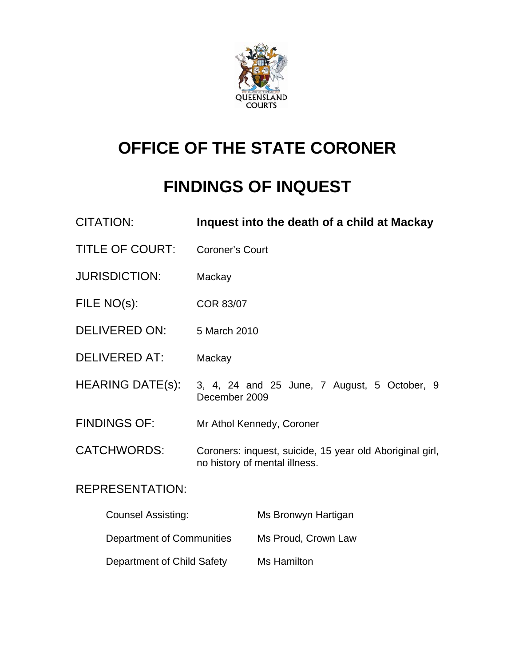

# **OFFICE OF THE STATE CORONER**

## **FINDINGS OF INQUEST**

| <b>CITATION:</b>           | Inquest into the death of a child at Mackay                                               |
|----------------------------|-------------------------------------------------------------------------------------------|
| <b>TITLE OF COURT:</b>     | <b>Coroner's Court</b>                                                                    |
| <b>JURISDICTION:</b>       | Mackay                                                                                    |
| FILE NO(s):                | <b>COR 83/07</b>                                                                          |
| <b>DELIVERED ON:</b>       | 5 March 2010                                                                              |
| <b>DELIVERED AT:</b>       | Mackay                                                                                    |
| <b>HEARING DATE(s):</b>    | 3, 4, 24 and 25 June, 7 August, 5 October, 9<br>December 2009                             |
| <b>FINDINGS OF:</b>        | Mr Athol Kennedy, Coroner                                                                 |
| <b>CATCHWORDS:</b>         | Coroners: inquest, suicide, 15 year old Aboriginal girl,<br>no history of mental illness. |
| <b>REPRESENTATION:</b>     |                                                                                           |
| <b>Counsel Assisting:</b>  | Ms Bronwyn Hartigan                                                                       |
| Department of Communities  | Ms Proud, Crown Law                                                                       |
| Department of Child Safety | Ms Hamilton                                                                               |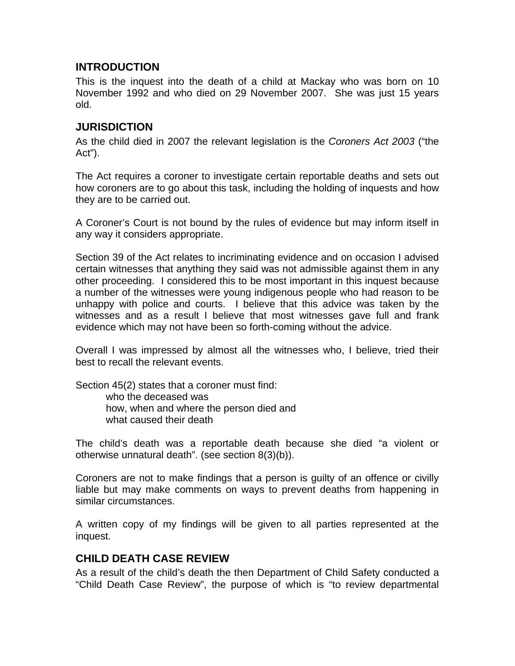#### **INTRODUCTION**

This is the inquest into the death of a child at Mackay who was born on 10 November 1992 and who died on 29 November 2007. She was just 15 years old.

#### **JURISDICTION**

As the child died in 2007 the relevant legislation is the *Coroners Act 2003* ("the Act").

The Act requires a coroner to investigate certain reportable deaths and sets out how coroners are to go about this task, including the holding of inquests and how they are to be carried out.

A Coroner's Court is not bound by the rules of evidence but may inform itself in any way it considers appropriate.

Section 39 of the Act relates to incriminating evidence and on occasion I advised certain witnesses that anything they said was not admissible against them in any other proceeding. I considered this to be most important in this inquest because a number of the witnesses were young indigenous people who had reason to be unhappy with police and courts. I believe that this advice was taken by the witnesses and as a result I believe that most witnesses gave full and frank evidence which may not have been so forth-coming without the advice.

Overall I was impressed by almost all the witnesses who, I believe, tried their best to recall the relevant events.

Section 45(2) states that a coroner must find: who the deceased was

 how, when and where the person died and what caused their death

The child's death was a reportable death because she died "a violent or otherwise unnatural death". (see section 8(3)(b)).

Coroners are not to make findings that a person is guilty of an offence or civilly liable but may make comments on ways to prevent deaths from happening in similar circumstances.

A written copy of my findings will be given to all parties represented at the inquest.

#### **CHILD DEATH CASE REVIEW**

As a result of the child's death the then Department of Child Safety conducted a "Child Death Case Review", the purpose of which is "to review departmental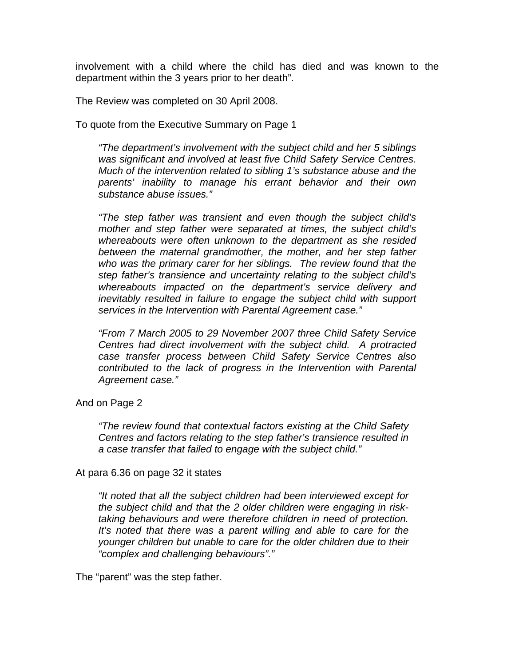involvement with a child where the child has died and was known to the department within the 3 years prior to her death".

The Review was completed on 30 April 2008.

To quote from the Executive Summary on Page 1

*"The department's involvement with the subject child and her 5 siblings was significant and involved at least five Child Safety Service Centres. Much of the intervention related to sibling 1's substance abuse and the parents' inability to manage his errant behavior and their own substance abuse issues."* 

*"The step father was transient and even though the subject child's mother and step father were separated at times, the subject child's whereabouts were often unknown to the department as she resided between the maternal grandmother, the mother, and her step father who was the primary carer for her siblings. The review found that the step father's transience and uncertainty relating to the subject child's whereabouts impacted on the department's service delivery and inevitably resulted in failure to engage the subject child with support services in the Intervention with Parental Agreement case."* 

*"From 7 March 2005 to 29 November 2007 three Child Safety Service Centres had direct involvement with the subject child. A protracted case transfer process between Child Safety Service Centres also contributed to the lack of progress in the Intervention with Parental Agreement case."* 

And on Page 2

*"The review found that contextual factors existing at the Child Safety Centres and factors relating to the step father's transience resulted in a case transfer that failed to engage with the subject child."* 

At para 6.36 on page 32 it states

*"It noted that all the subject children had been interviewed except for the subject child and that the 2 older children were engaging in risktaking behaviours and were therefore children in need of protection.*  It's noted that there was a parent willing and able to care for the *younger children but unable to care for the older children due to their "complex and challenging behaviours"."* 

The "parent" was the step father.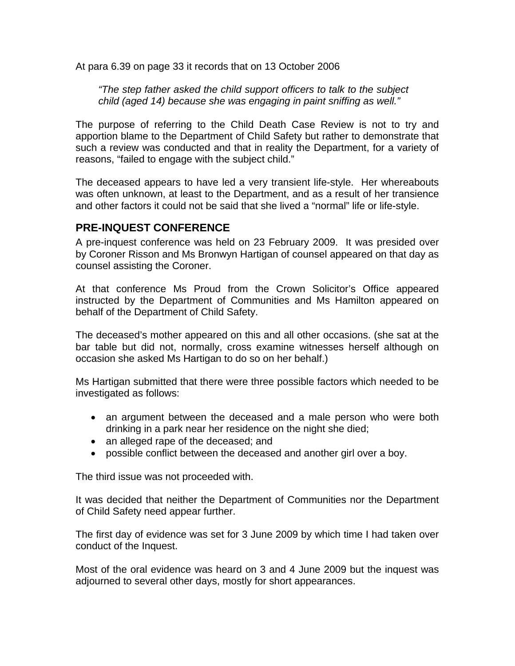At para 6.39 on page 33 it records that on 13 October 2006

*"The step father asked the child support officers to talk to the subject child (aged 14) because she was engaging in paint sniffing as well."* 

The purpose of referring to the Child Death Case Review is not to try and apportion blame to the Department of Child Safety but rather to demonstrate that such a review was conducted and that in reality the Department, for a variety of reasons, "failed to engage with the subject child."

The deceased appears to have led a very transient life-style. Her whereabouts was often unknown, at least to the Department, and as a result of her transience and other factors it could not be said that she lived a "normal" life or life-style.

#### **PRE-INQUEST CONFERENCE**

A pre-inquest conference was held on 23 February 2009. It was presided over by Coroner Risson and Ms Bronwyn Hartigan of counsel appeared on that day as counsel assisting the Coroner.

At that conference Ms Proud from the Crown Solicitor's Office appeared instructed by the Department of Communities and Ms Hamilton appeared on behalf of the Department of Child Safety.

The deceased's mother appeared on this and all other occasions. (she sat at the bar table but did not, normally, cross examine witnesses herself although on occasion she asked Ms Hartigan to do so on her behalf.)

Ms Hartigan submitted that there were three possible factors which needed to be investigated as follows:

- an argument between the deceased and a male person who were both drinking in a park near her residence on the night she died;
- an alleged rape of the deceased; and
- possible conflict between the deceased and another girl over a boy.

The third issue was not proceeded with.

It was decided that neither the Department of Communities nor the Department of Child Safety need appear further.

The first day of evidence was set for 3 June 2009 by which time I had taken over conduct of the Inquest.

Most of the oral evidence was heard on 3 and 4 June 2009 but the inquest was adjourned to several other days, mostly for short appearances.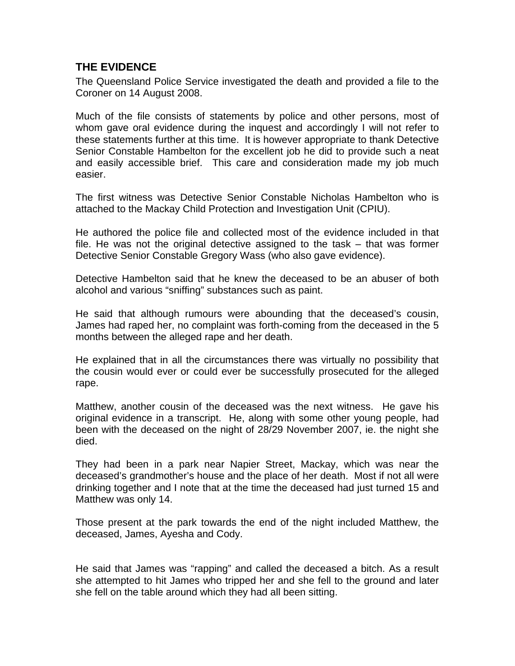### **THE EVIDENCE**

The Queensland Police Service investigated the death and provided a file to the Coroner on 14 August 2008.

Much of the file consists of statements by police and other persons, most of whom gave oral evidence during the inquest and accordingly I will not refer to these statements further at this time. It is however appropriate to thank Detective Senior Constable Hambelton for the excellent job he did to provide such a neat and easily accessible brief. This care and consideration made my job much easier.

The first witness was Detective Senior Constable Nicholas Hambelton who is attached to the Mackay Child Protection and Investigation Unit (CPIU).

He authored the police file and collected most of the evidence included in that file. He was not the original detective assigned to the task – that was former Detective Senior Constable Gregory Wass (who also gave evidence).

Detective Hambelton said that he knew the deceased to be an abuser of both alcohol and various "sniffing" substances such as paint.

He said that although rumours were abounding that the deceased's cousin, James had raped her, no complaint was forth-coming from the deceased in the 5 months between the alleged rape and her death.

He explained that in all the circumstances there was virtually no possibility that the cousin would ever or could ever be successfully prosecuted for the alleged rape.

Matthew, another cousin of the deceased was the next witness. He gave his original evidence in a transcript. He, along with some other young people, had been with the deceased on the night of 28/29 November 2007, ie. the night she died.

They had been in a park near Napier Street, Mackay, which was near the deceased's grandmother's house and the place of her death. Most if not all were drinking together and I note that at the time the deceased had just turned 15 and Matthew was only 14.

Those present at the park towards the end of the night included Matthew, the deceased, James, Ayesha and Cody.

He said that James was "rapping" and called the deceased a bitch. As a result she attempted to hit James who tripped her and she fell to the ground and later she fell on the table around which they had all been sitting.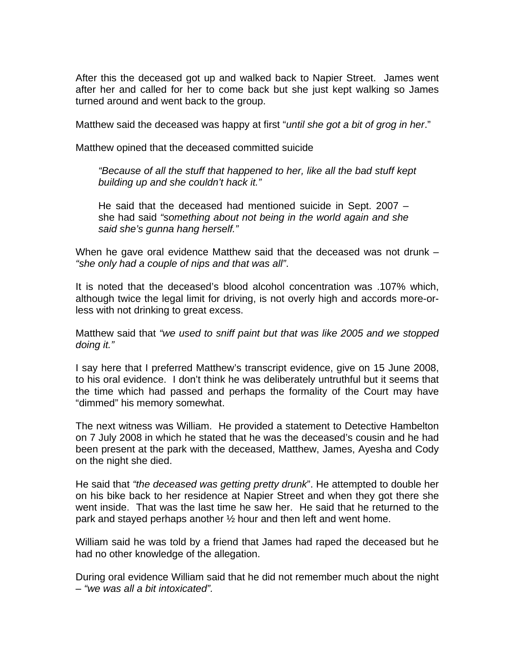After this the deceased got up and walked back to Napier Street. James went after her and called for her to come back but she just kept walking so James turned around and went back to the group.

Matthew said the deceased was happy at first "*until she got a bit of grog in her*."

Matthew opined that the deceased committed suicide

*"Because of all the stuff that happened to her, like all the bad stuff kept building up and she couldn't hack it."* 

He said that the deceased had mentioned suicide in Sept. 2007 – she had said *"something about not being in the world again and she said she's gunna hang herself."* 

When he gave oral evidence Matthew said that the deceased was not drunk – *"she only had a couple of nips and that was all"*.

It is noted that the deceased's blood alcohol concentration was .107% which, although twice the legal limit for driving, is not overly high and accords more-orless with not drinking to great excess.

Matthew said that *"we used to sniff paint but that was like 2005 and we stopped doing it."* 

I say here that I preferred Matthew's transcript evidence, give on 15 June 2008, to his oral evidence. I don't think he was deliberately untruthful but it seems that the time which had passed and perhaps the formality of the Court may have "dimmed" his memory somewhat.

The next witness was William. He provided a statement to Detective Hambelton on 7 July 2008 in which he stated that he was the deceased's cousin and he had been present at the park with the deceased, Matthew, James, Ayesha and Cody on the night she died.

He said that *"the deceased was getting pretty drunk*". He attempted to double her on his bike back to her residence at Napier Street and when they got there she went inside. That was the last time he saw her. He said that he returned to the park and stayed perhaps another ½ hour and then left and went home.

William said he was told by a friend that James had raped the deceased but he had no other knowledge of the allegation.

During oral evidence William said that he did not remember much about the night – *"we was all a bit intoxicated".*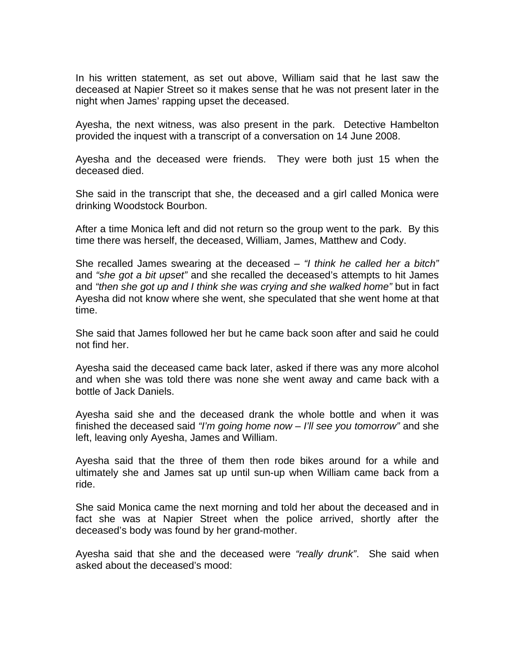In his written statement, as set out above, William said that he last saw the deceased at Napier Street so it makes sense that he was not present later in the night when James' rapping upset the deceased.

Ayesha, the next witness, was also present in the park. Detective Hambelton provided the inquest with a transcript of a conversation on 14 June 2008.

Ayesha and the deceased were friends. They were both just 15 when the deceased died.

She said in the transcript that she, the deceased and a girl called Monica were drinking Woodstock Bourbon.

After a time Monica left and did not return so the group went to the park. By this time there was herself, the deceased, William, James, Matthew and Cody.

She recalled James swearing at the deceased – *"I think he called her a bitch"* and *"she got a bit upset"* and she recalled the deceased's attempts to hit James and *"then she got up and I think she was crying and she walked home"* but in fact Ayesha did not know where she went, she speculated that she went home at that time.

She said that James followed her but he came back soon after and said he could not find her.

Ayesha said the deceased came back later, asked if there was any more alcohol and when she was told there was none she went away and came back with a bottle of Jack Daniels.

Ayesha said she and the deceased drank the whole bottle and when it was finished the deceased said *"I'm going home now – I'll see you tomorrow"* and she left, leaving only Ayesha, James and William.

Ayesha said that the three of them then rode bikes around for a while and ultimately she and James sat up until sun-up when William came back from a ride.

She said Monica came the next morning and told her about the deceased and in fact she was at Napier Street when the police arrived, shortly after the deceased's body was found by her grand-mother.

Ayesha said that she and the deceased were *"really drunk"*. She said when asked about the deceased's mood: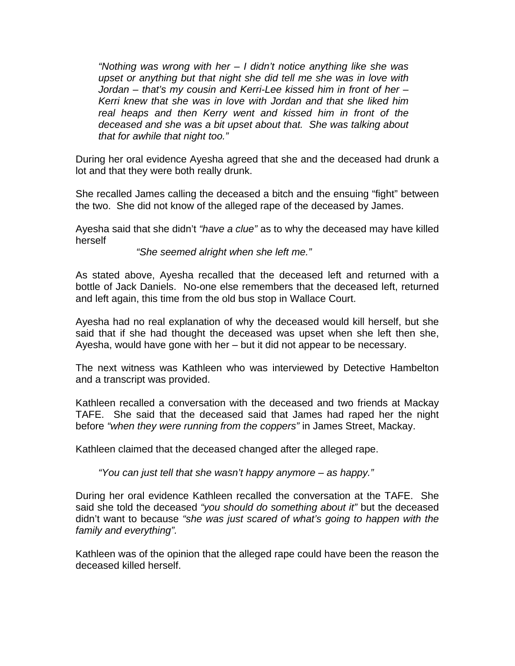*"Nothing was wrong with her – I didn't notice anything like she was upset or anything but that night she did tell me she was in love with Jordan – that's my cousin and Kerri-Lee kissed him in front of her – Kerri knew that she was in love with Jordan and that she liked him real heaps and then Kerry went and kissed him in front of the deceased and she was a bit upset about that. She was talking about that for awhile that night too."* 

During her oral evidence Ayesha agreed that she and the deceased had drunk a lot and that they were both really drunk.

She recalled James calling the deceased a bitch and the ensuing "fight" between the two. She did not know of the alleged rape of the deceased by James.

Ayesha said that she didn't *"have a clue"* as to why the deceased may have killed herself

*"She seemed alright when she left me."* 

As stated above, Ayesha recalled that the deceased left and returned with a bottle of Jack Daniels. No-one else remembers that the deceased left, returned and left again, this time from the old bus stop in Wallace Court.

Ayesha had no real explanation of why the deceased would kill herself, but she said that if she had thought the deceased was upset when she left then she, Ayesha, would have gone with her – but it did not appear to be necessary.

The next witness was Kathleen who was interviewed by Detective Hambelton and a transcript was provided.

Kathleen recalled a conversation with the deceased and two friends at Mackay TAFE. She said that the deceased said that James had raped her the night before *"when they were running from the coppers"* in James Street, Mackay.

Kathleen claimed that the deceased changed after the alleged rape.

*"You can just tell that she wasn't happy anymore – as happy."* 

During her oral evidence Kathleen recalled the conversation at the TAFE. She said she told the deceased *"you should do something about it"* but the deceased didn't want to because *"she was just scared of what's going to happen with the family and everything".* 

Kathleen was of the opinion that the alleged rape could have been the reason the deceased killed herself.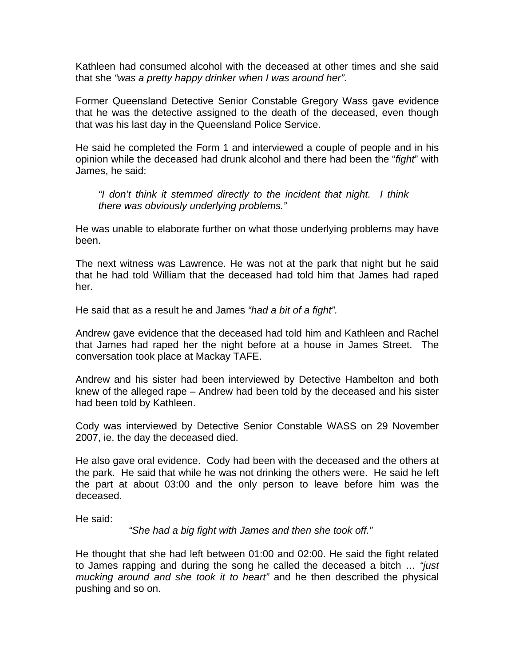Kathleen had consumed alcohol with the deceased at other times and she said that she *"was a pretty happy drinker when I was around her".*

Former Queensland Detective Senior Constable Gregory Wass gave evidence that he was the detective assigned to the death of the deceased, even though that was his last day in the Queensland Police Service.

He said he completed the Form 1 and interviewed a couple of people and in his opinion while the deceased had drunk alcohol and there had been the "*fight*" with James, he said:

*"I don't think it stemmed directly to the incident that night. I think there was obviously underlying problems."* 

He was unable to elaborate further on what those underlying problems may have been.

The next witness was Lawrence. He was not at the park that night but he said that he had told William that the deceased had told him that James had raped her.

He said that as a result he and James *"had a bit of a fight".*

Andrew gave evidence that the deceased had told him and Kathleen and Rachel that James had raped her the night before at a house in James Street. The conversation took place at Mackay TAFE.

Andrew and his sister had been interviewed by Detective Hambelton and both knew of the alleged rape – Andrew had been told by the deceased and his sister had been told by Kathleen.

Cody was interviewed by Detective Senior Constable WASS on 29 November 2007, ie. the day the deceased died.

He also gave oral evidence. Cody had been with the deceased and the others at the park. He said that while he was not drinking the others were. He said he left the part at about 03:00 and the only person to leave before him was the deceased.

He said:

*"She had a big fight with James and then she took off."* 

He thought that she had left between 01:00 and 02:00. He said the fight related to James rapping and during the song he called the deceased a bitch … *"just mucking around and she took it to heart"* and he then described the physical pushing and so on.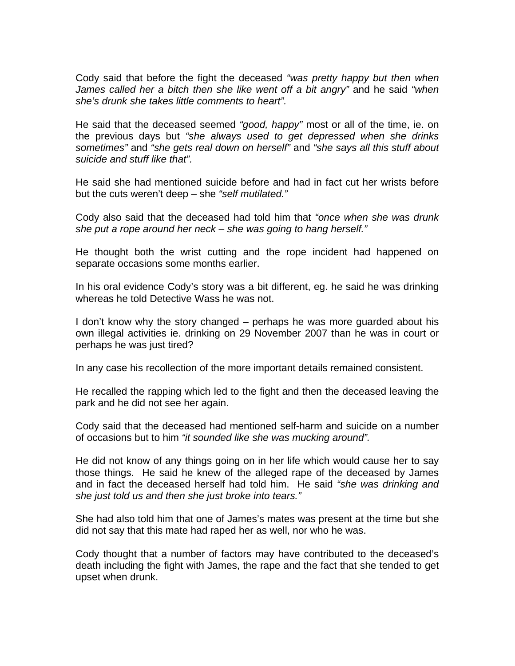Cody said that before the fight the deceased *"was pretty happy but then when James called her a bitch then she like went off a bit angry"* and he said *"when she's drunk she takes little comments to heart".* 

He said that the deceased seemed *"good, happy"* most or all of the time, ie. on the previous days but *"she always used to get depressed when she drinks sometimes"* and *"she gets real down on herself"* and *"she says all this stuff about suicide and stuff like that".*

He said she had mentioned suicide before and had in fact cut her wrists before but the cuts weren't deep – she *"self mutilated."*

Cody also said that the deceased had told him that *"once when she was drunk she put a rope around her neck – she was going to hang herself."* 

He thought both the wrist cutting and the rope incident had happened on separate occasions some months earlier.

In his oral evidence Cody's story was a bit different, eg. he said he was drinking whereas he told Detective Wass he was not.

I don't know why the story changed – perhaps he was more guarded about his own illegal activities ie. drinking on 29 November 2007 than he was in court or perhaps he was just tired?

In any case his recollection of the more important details remained consistent.

He recalled the rapping which led to the fight and then the deceased leaving the park and he did not see her again.

Cody said that the deceased had mentioned self-harm and suicide on a number of occasions but to him *"it sounded like she was mucking around".* 

He did not know of any things going on in her life which would cause her to say those things. He said he knew of the alleged rape of the deceased by James and in fact the deceased herself had told him. He said *"she was drinking and she just told us and then she just broke into tears."* 

She had also told him that one of James's mates was present at the time but she did not say that this mate had raped her as well, nor who he was.

Cody thought that a number of factors may have contributed to the deceased's death including the fight with James, the rape and the fact that she tended to get upset when drunk.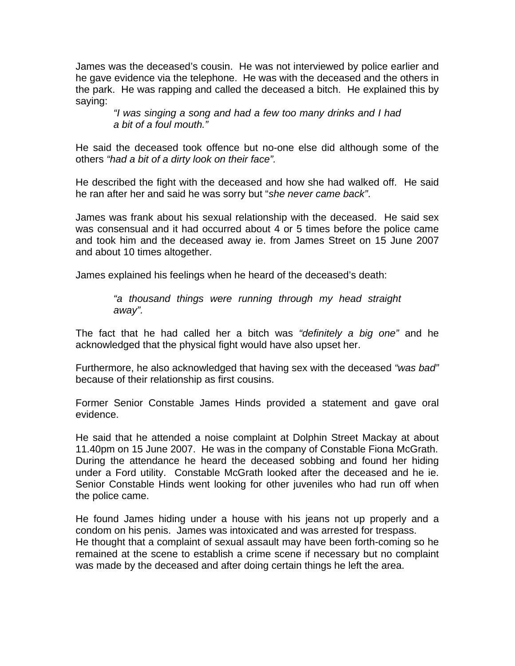James was the deceased's cousin. He was not interviewed by police earlier and he gave evidence via the telephone. He was with the deceased and the others in the park. He was rapping and called the deceased a bitch. He explained this by saying:

> *"I was singing a song and had a few too many drinks and I had a bit of a foul mouth."*

He said the deceased took offence but no-one else did although some of the others *"had a bit of a dirty look on their face".* 

He described the fight with the deceased and how she had walked off. He said he ran after her and said he was sorry but "*she never came back"*.

James was frank about his sexual relationship with the deceased. He said sex was consensual and it had occurred about 4 or 5 times before the police came and took him and the deceased away ie. from James Street on 15 June 2007 and about 10 times altogether.

James explained his feelings when he heard of the deceased's death:

*"a thousand things were running through my head straight away".* 

The fact that he had called her a bitch was *"definitely a big one"* and he acknowledged that the physical fight would have also upset her.

Furthermore, he also acknowledged that having sex with the deceased *"was bad"*  because of their relationship as first cousins.

Former Senior Constable James Hinds provided a statement and gave oral evidence.

He said that he attended a noise complaint at Dolphin Street Mackay at about 11.40pm on 15 June 2007. He was in the company of Constable Fiona McGrath. During the attendance he heard the deceased sobbing and found her hiding under a Ford utility. Constable McGrath looked after the deceased and he ie. Senior Constable Hinds went looking for other juveniles who had run off when the police came.

He found James hiding under a house with his jeans not up properly and a condom on his penis. James was intoxicated and was arrested for trespass. He thought that a complaint of sexual assault may have been forth-coming so he remained at the scene to establish a crime scene if necessary but no complaint was made by the deceased and after doing certain things he left the area.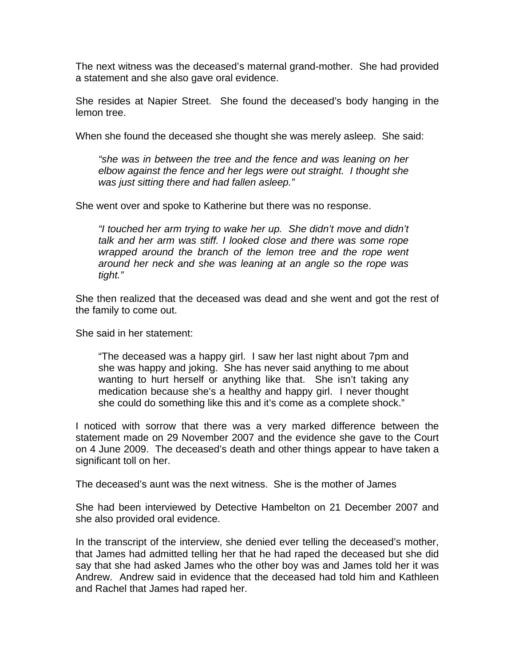The next witness was the deceased's maternal grand-mother. She had provided a statement and she also gave oral evidence.

She resides at Napier Street. She found the deceased's body hanging in the lemon tree.

When she found the deceased she thought she was merely asleep. She said:

*"she was in between the tree and the fence and was leaning on her elbow against the fence and her legs were out straight. I thought she was just sitting there and had fallen asleep."* 

She went over and spoke to Katherine but there was no response.

*"I touched her arm trying to wake her up. She didn't move and didn't talk and her arm was stiff. I looked close and there was some rope wrapped around the branch of the lemon tree and the rope went around her neck and she was leaning at an angle so the rope was tight."* 

She then realized that the deceased was dead and she went and got the rest of the family to come out.

She said in her statement:

"The deceased was a happy girl. I saw her last night about 7pm and she was happy and joking. She has never said anything to me about wanting to hurt herself or anything like that. She isn't taking any medication because she's a healthy and happy girl. I never thought she could do something like this and it's come as a complete shock."

I noticed with sorrow that there was a very marked difference between the statement made on 29 November 2007 and the evidence she gave to the Court on 4 June 2009. The deceased's death and other things appear to have taken a significant toll on her.

The deceased's aunt was the next witness. She is the mother of James

She had been interviewed by Detective Hambelton on 21 December 2007 and she also provided oral evidence.

In the transcript of the interview, she denied ever telling the deceased's mother, that James had admitted telling her that he had raped the deceased but she did say that she had asked James who the other boy was and James told her it was Andrew. Andrew said in evidence that the deceased had told him and Kathleen and Rachel that James had raped her.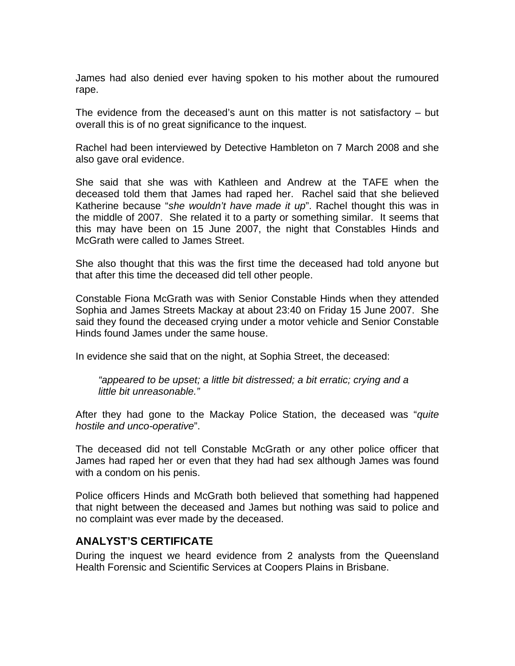James had also denied ever having spoken to his mother about the rumoured rape.

The evidence from the deceased's aunt on this matter is not satisfactory – but overall this is of no great significance to the inquest.

Rachel had been interviewed by Detective Hambleton on 7 March 2008 and she also gave oral evidence.

She said that she was with Kathleen and Andrew at the TAFE when the deceased told them that James had raped her. Rachel said that she believed Katherine because "*she wouldn't have made it up*". Rachel thought this was in the middle of 2007. She related it to a party or something similar. It seems that this may have been on 15 June 2007, the night that Constables Hinds and McGrath were called to James Street.

She also thought that this was the first time the deceased had told anyone but that after this time the deceased did tell other people.

Constable Fiona McGrath was with Senior Constable Hinds when they attended Sophia and James Streets Mackay at about 23:40 on Friday 15 June 2007. She said they found the deceased crying under a motor vehicle and Senior Constable Hinds found James under the same house.

In evidence she said that on the night, at Sophia Street, the deceased:

*"appeared to be upset; a little bit distressed; a bit erratic; crying and a little bit unreasonable."* 

After they had gone to the Mackay Police Station, the deceased was "*quite hostile and unco-operative*".

The deceased did not tell Constable McGrath or any other police officer that James had raped her or even that they had had sex although James was found with a condom on his penis.

Police officers Hinds and McGrath both believed that something had happened that night between the deceased and James but nothing was said to police and no complaint was ever made by the deceased.

#### **ANALYST'S CERTIFICATE**

During the inquest we heard evidence from 2 analysts from the Queensland Health Forensic and Scientific Services at Coopers Plains in Brisbane.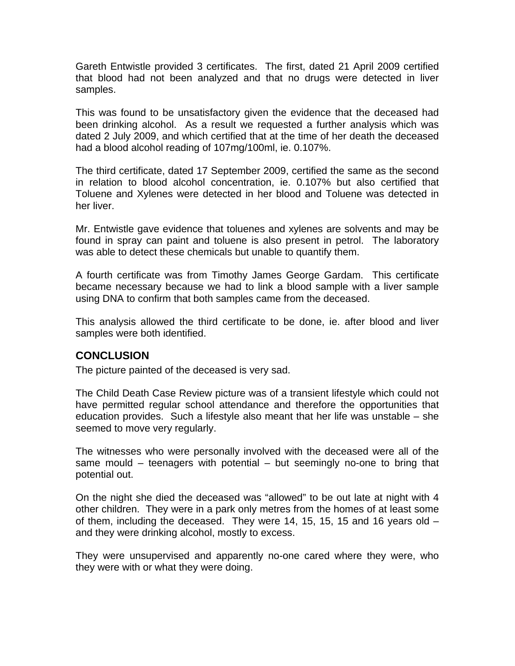Gareth Entwistle provided 3 certificates. The first, dated 21 April 2009 certified that blood had not been analyzed and that no drugs were detected in liver samples.

This was found to be unsatisfactory given the evidence that the deceased had been drinking alcohol. As a result we requested a further analysis which was dated 2 July 2009, and which certified that at the time of her death the deceased had a blood alcohol reading of 107mg/100ml, ie. 0.107%.

The third certificate, dated 17 September 2009, certified the same as the second in relation to blood alcohol concentration, ie. 0.107% but also certified that Toluene and Xylenes were detected in her blood and Toluene was detected in her liver.

Mr. Entwistle gave evidence that toluenes and xylenes are solvents and may be found in spray can paint and toluene is also present in petrol. The laboratory was able to detect these chemicals but unable to quantify them.

A fourth certificate was from Timothy James George Gardam. This certificate became necessary because we had to link a blood sample with a liver sample using DNA to confirm that both samples came from the deceased.

This analysis allowed the third certificate to be done, ie. after blood and liver samples were both identified.

#### **CONCLUSION**

The picture painted of the deceased is very sad.

The Child Death Case Review picture was of a transient lifestyle which could not have permitted regular school attendance and therefore the opportunities that education provides. Such a lifestyle also meant that her life was unstable – she seemed to move very regularly.

The witnesses who were personally involved with the deceased were all of the same mould – teenagers with potential – but seemingly no-one to bring that potential out.

On the night she died the deceased was "allowed" to be out late at night with 4 other children. They were in a park only metres from the homes of at least some of them, including the deceased. They were 14, 15, 15, 15 and 16 years old – and they were drinking alcohol, mostly to excess.

They were unsupervised and apparently no-one cared where they were, who they were with or what they were doing.